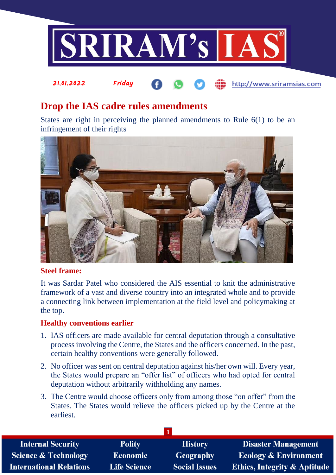

http://www.sriramsias.com

# **Drop the IAS cadre rules amendments**

21.01.2022 Friday

States are right in perceiving the planned amendments to Rule 6(1) to be an infringement of their rights



### **Steel frame:**

It was Sardar Patel who considered the AIS essential to knit the administrative framework of a vast and diverse country into an integrated whole and to provide a connecting link between implementation at the field level and policymaking at the top.

### **Healthy conventions earlier**

- 1. IAS officers are made available for central deputation through a consultative process involving the Centre, the States and the officers concerned. In the past, certain healthy conventions were generally followed.
- 2. No officer was sent on central deputation against his/her own will. Every year, the States would prepare an "offer list" of officers who had opted for central deputation without arbitrarily withholding any names.
- 3. The Centre would choose officers only from among those "on offer" from the States. The States would relieve the officers picked up by the Centre at the earliest.

| <b>Internal Security</b>        | <b>Polity</b>       | <b>History</b>       | <b>Disaster Management</b>              |
|---------------------------------|---------------------|----------------------|-----------------------------------------|
| <b>Science &amp; Technology</b> | <b>Economic</b>     | Geography            | <b>Ecology &amp; Environment</b>        |
| <b>International Relations</b>  | <b>Life Science</b> | <b>Social Issues</b> | <b>Ethics, Integrity &amp; Aptitude</b> |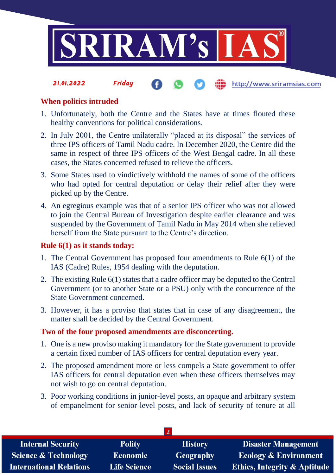

**fin** http://www.sriramsias.com

# **When politics intruded**

21.01.2022 Friday

- 1. Unfortunately, both the Centre and the States have at times flouted these healthy conventions for political considerations.
- 2. In July 2001, the Centre unilaterally "placed at its disposal" the services of three IPS officers of Tamil Nadu cadre. In December 2020, the Centre did the same in respect of three IPS officers of the West Bengal cadre. In all these cases, the States concerned refused to relieve the officers.
- 3. Some States used to vindictively withhold the names of some of the officers who had opted for central deputation or delay their relief after they were picked up by the Centre.
- 4. An egregious example was that of a senior IPS officer who was not allowed to join the Central Bureau of Investigation despite earlier clearance and was suspended by the Government of Tamil Nadu in May 2014 when she relieved herself from the State pursuant to the Centre's direction.

### **Rule 6(1) as it stands today:**

- 1. The Central Government has proposed four amendments to Rule 6(1) of the IAS (Cadre) Rules, 1954 dealing with the deputation.
- 2. The existing Rule 6(1) states that a cadre officer may be deputed to the Central Government (or to another State or a PSU) only with the concurrence of the State Government concerned.
- 3. However, it has a proviso that states that in case of any disagreement, the matter shall be decided by the Central Government.

### **Two of the four proposed amendments are disconcerting.**

- 1. One is a new proviso making it mandatory for the State government to provide a certain fixed number of IAS officers for central deputation every year.
- 2. The proposed amendment more or less compels a State government to offer IAS officers for central deputation even when these officers themselves may not wish to go on central deputation.
- 3. Poor working conditions in junior-level posts, an opaque and arbitrary system of empanelment for senior-level posts, and lack of security of tenure at all

| <b>Internal Security</b>        | <b>Polity</b>       | <b>History</b>       | <b>Disaster Management</b>              |  |  |  |
|---------------------------------|---------------------|----------------------|-----------------------------------------|--|--|--|
| <b>Science &amp; Technology</b> | <b>Economic</b>     | Geography            | <b>Ecology &amp; Environment</b>        |  |  |  |
| <b>International Relations</b>  | <b>Life Science</b> | <b>Social Issues</b> | <b>Ethics, Integrity &amp; Aptitude</b> |  |  |  |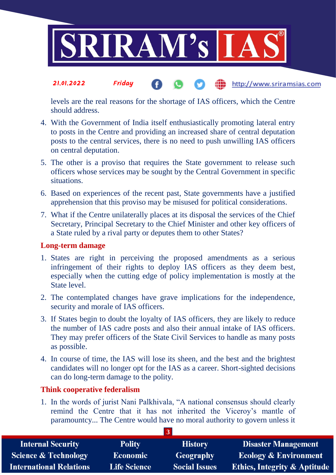

#### 21.01.2022 Friday http://www.sriramsias.com

levels are the real reasons for the shortage of IAS officers, which the Centre should address.

- 4. With the Government of India itself enthusiastically promoting lateral entry to posts in the Centre and providing an increased share of central deputation posts to the central services, there is no need to push unwilling IAS officers on central deputation.
- 5. The other is a proviso that requires the State government to release such officers whose services may be sought by the Central Government in specific situations.
- 6. Based on experiences of the recent past, State governments have a justified apprehension that this proviso may be misused for political considerations.
- 7. What if the Centre unilaterally places at its disposal the services of the Chief Secretary, Principal Secretary to the Chief Minister and other key officers of a State ruled by a rival party or deputes them to other States?

## **Long-term damage**

- 1. States are right in perceiving the proposed amendments as a serious infringement of their rights to deploy IAS officers as they deem best, especially when the cutting edge of policy implementation is mostly at the State level.
- 2. The contemplated changes have grave implications for the independence, security and morale of IAS officers.
- 3. If States begin to doubt the loyalty of IAS officers, they are likely to reduce the number of IAS cadre posts and also their annual intake of IAS officers. They may prefer officers of the State Civil Services to handle as many posts as possible.
- 4. In course of time, the IAS will lose its sheen, and the best and the brightest candidates will no longer opt for the IAS as a career. Short-sighted decisions can do long-term damage to the polity.

## **Think cooperative federalism**

1. In the words of jurist Nani Palkhivala, "A national consensus should clearly remind the Centre that it has not inherited the Viceroy's mantle of paramountcy... The Centre would have no moral authority to govern unless it

| <b>Internal Security</b>        | <b>Polity</b>       | <b>History</b>       | <b>Disaster Management</b>              |  |  |  |
|---------------------------------|---------------------|----------------------|-----------------------------------------|--|--|--|
| <b>Science &amp; Technology</b> | Economic            | Geography            | <b>Ecology &amp; Environment</b>        |  |  |  |
| <b>International Relations</b>  | <b>Life Science</b> | <b>Social Issues</b> | <b>Ethics, Integrity &amp; Aptitude</b> |  |  |  |